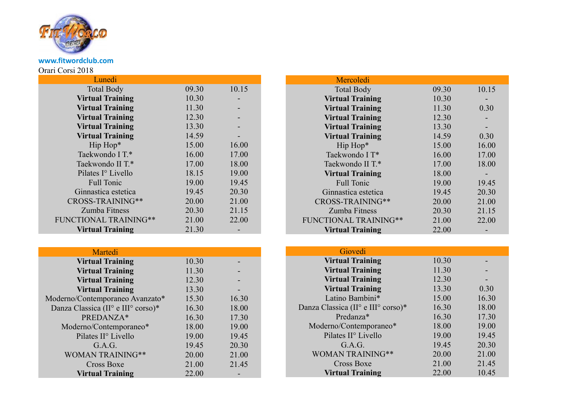

**www.fitwordclub.com** Orari Corsi 2018

| Lunedi                       |       |       |
|------------------------------|-------|-------|
| <b>Total Body</b>            | 09.30 | 10.15 |
| <b>Virtual Training</b>      | 10.30 |       |
| <b>Virtual Training</b>      | 11.30 |       |
| <b>Virtual Training</b>      | 12.30 |       |
| <b>Virtual Training</b>      | 13.30 |       |
| <b>Virtual Training</b>      | 14.59 |       |
| Hip Hop*                     | 15.00 | 16.00 |
| Taekwondo I T.*              | 16.00 | 17.00 |
| Taekwondo II T.*             | 17.00 | 18.00 |
| Pilates I° Livello           | 18.15 | 19.00 |
| <b>Full Tonic</b>            | 19.00 | 19.45 |
| Ginnastica estetica          | 19.45 | 20.30 |
| CROSS-TRAINING**             | 20.00 | 21.00 |
| Zumba Fitness                | 20.30 | 21.15 |
| <b>FUNCTIONAL TRAINING**</b> | 21.00 | 22.00 |
| <b>Virtual Training</b>      | 21.30 |       |

| Martedi                            |       |       |
|------------------------------------|-------|-------|
| <b>Virtual Training</b>            | 10.30 |       |
| <b>Virtual Training</b>            | 11.30 |       |
| <b>Virtual Training</b>            | 12.30 |       |
| <b>Virtual Training</b>            | 13.30 |       |
| Moderno/Contemporaneo Avanzato*    | 15.30 | 16.30 |
| Danza Classica (II° e III° corso)* | 16.30 | 18.00 |
| PREDANZA*                          | 16.30 | 17.30 |
| Moderno/Contemporaneo*             | 18.00 | 19.00 |
| Pilates II <sup>o</sup> Livello    | 19.00 | 19.45 |
| G.A.G.                             | 19.45 | 20.30 |
| <b>WOMAN TRAINING**</b>            | 20.00 | 21.00 |
| Cross Boxe                         | 21.00 | 21.45 |
| <b>Virtual Training</b>            | 22.00 |       |

| 09.30 | 10.15 |
|-------|-------|
| 10.30 |       |
| 11.30 | 0.30  |
| 12.30 |       |
| 13.30 |       |
| 14.59 | 0.30  |
| 15.00 | 16.00 |
| 16.00 | 17.00 |
| 17.00 | 18.00 |
| 18.00 |       |
| 19.00 | 19.45 |
| 19.45 | 20.30 |
| 20.00 | 21.00 |
| 20.30 | 21.15 |
| 21.00 | 22.00 |
| 22.00 |       |
|       |       |

| Giovedi                            |       |       |
|------------------------------------|-------|-------|
|                                    |       |       |
| <b>Virtual Training</b>            | 10.30 |       |
| <b>Virtual Training</b>            | 11.30 |       |
| <b>Virtual Training</b>            | 12.30 |       |
| <b>Virtual Training</b>            | 13.30 | 0.30  |
| Latino Bambini*                    | 15.00 | 16.30 |
| Danza Classica (II° e III° corso)* | 16.30 | 18.00 |
| Predanza*                          | 16.30 | 17.30 |
| Moderno/Contemporaneo*             | 18.00 | 19.00 |
| Pilates II <sup>o</sup> Livello    | 19.00 | 19.45 |
| G.A.G.                             | 19.45 | 20.30 |
| <b>WOMAN TRAINING**</b>            | 20.00 | 21.00 |
| Cross Boxe                         | 21.00 | 21.45 |
| <b>Virtual Training</b>            | 22.00 | 10.45 |